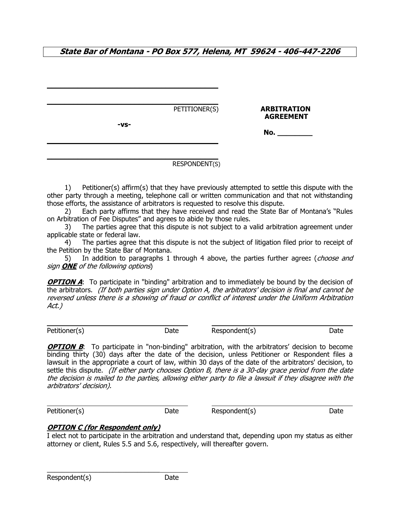**State Bar of Montana - PO Box 577, Helena, MT 59624 - 406-447-2206**

| -VS- | PETITIONER(S) | <b>ARBITRATION</b><br><b>AGREEMENT</b> |
|------|---------------|----------------------------------------|
|      |               | No.                                    |
|      |               |                                        |

### RESPONDENT(S)

1) Petitioner(s) affirm(s) that they have previously attempted to settle this dispute with the other party through a meeting, telephone call or written communication and that not withstanding those efforts, the assistance of arbitrators is requested to resolve this dispute.

 2) Each party affirms that they have received and read the State Bar of Montana's "Rules on Arbitration of Fee Disputes" and agrees to abide by those rules.

3) The parties agree that this dispute is not subject to a valid arbitration agreement under applicable state or federal law.

 4) The parties agree that this dispute is not the subject of litigation filed prior to receipt of the Petition by the State Bar of Montana.

5) In addition to paragraphs 1 through 4 above, the parties further agree**:** (choose and sign **ONE** of the following options)

**OPTION A:** To participate in "binding" arbitration and to immediately be bound by the decision of the arbitrators. (If both parties sign under Option A, the arbitrators' decision is final and cannot be reversed unless there is a showing of fraud or conflict of interest under the Uniform Arbitration Act.)

 $\overline{a}$ 

 $\overline{a}$ 

Petitioner(s) Date Respondent(s) Date Respondent(s) Date

**OPTION B:** To participate in "non-binding" arbitration, with the arbitrators' decision to become binding thirty (30) days after the date of the decision, unless Petitioner or Respondent files a lawsuit in the appropriate a court of law, within 30 days of the date of the arbitrators' decision, to settle this dispute. (If either party chooses Option B, there is a 30-day grace period from the date the decision is mailed to the parties, allowing either party to file a lawsuit if they disagree with the arbitrators' decision).

Petitioner(s) Date Respondent(s) Date Respondent(s)

# **OPTION C (for Respondent only)**

\_\_\_\_\_\_\_\_\_\_\_\_\_\_\_\_\_\_\_\_\_\_\_\_\_\_\_\_\_\_

I elect not to participate in the arbitration and understand that, depending upon my status as either attorney or client, Rules 5.5 and 5.6, respectively, will thereafter govern.